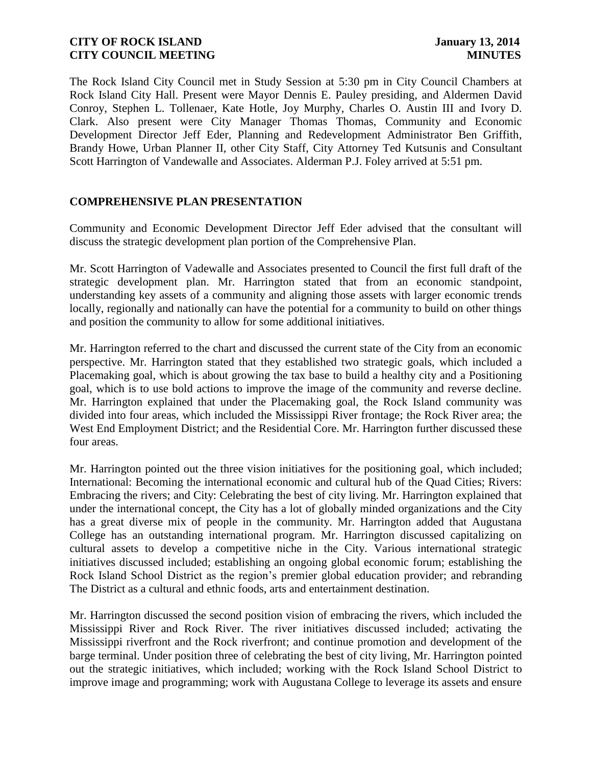The Rock Island City Council met in Study Session at 5:30 pm in City Council Chambers at Rock Island City Hall. Present were Mayor Dennis E. Pauley presiding, and Aldermen David Conroy, Stephen L. Tollenaer, Kate Hotle, Joy Murphy, Charles O. Austin III and Ivory D. Clark. Also present were City Manager Thomas Thomas, Community and Economic Development Director Jeff Eder, Planning and Redevelopment Administrator Ben Griffith, Brandy Howe, Urban Planner II, other City Staff, City Attorney Ted Kutsunis and Consultant Scott Harrington of Vandewalle and Associates. Alderman P.J. Foley arrived at 5:51 pm.

# **COMPREHENSIVE PLAN PRESENTATION**

Community and Economic Development Director Jeff Eder advised that the consultant will discuss the strategic development plan portion of the Comprehensive Plan.

Mr. Scott Harrington of Vadewalle and Associates presented to Council the first full draft of the strategic development plan. Mr. Harrington stated that from an economic standpoint, understanding key assets of a community and aligning those assets with larger economic trends locally, regionally and nationally can have the potential for a community to build on other things and position the community to allow for some additional initiatives.

Mr. Harrington referred to the chart and discussed the current state of the City from an economic perspective. Mr. Harrington stated that they established two strategic goals, which included a Placemaking goal, which is about growing the tax base to build a healthy city and a Positioning goal, which is to use bold actions to improve the image of the community and reverse decline. Mr. Harrington explained that under the Placemaking goal, the Rock Island community was divided into four areas, which included the Mississippi River frontage; the Rock River area; the West End Employment District; and the Residential Core. Mr. Harrington further discussed these four areas.

Mr. Harrington pointed out the three vision initiatives for the positioning goal, which included; International: Becoming the international economic and cultural hub of the Quad Cities; Rivers: Embracing the rivers; and City: Celebrating the best of city living. Mr. Harrington explained that under the international concept, the City has a lot of globally minded organizations and the City has a great diverse mix of people in the community. Mr. Harrington added that Augustana College has an outstanding international program. Mr. Harrington discussed capitalizing on cultural assets to develop a competitive niche in the City. Various international strategic initiatives discussed included; establishing an ongoing global economic forum; establishing the Rock Island School District as the region's premier global education provider; and rebranding The District as a cultural and ethnic foods, arts and entertainment destination.

Mr. Harrington discussed the second position vision of embracing the rivers, which included the Mississippi River and Rock River. The river initiatives discussed included; activating the Mississippi riverfront and the Rock riverfront; and continue promotion and development of the barge terminal. Under position three of celebrating the best of city living, Mr. Harrington pointed out the strategic initiatives, which included; working with the Rock Island School District to improve image and programming; work with Augustana College to leverage its assets and ensure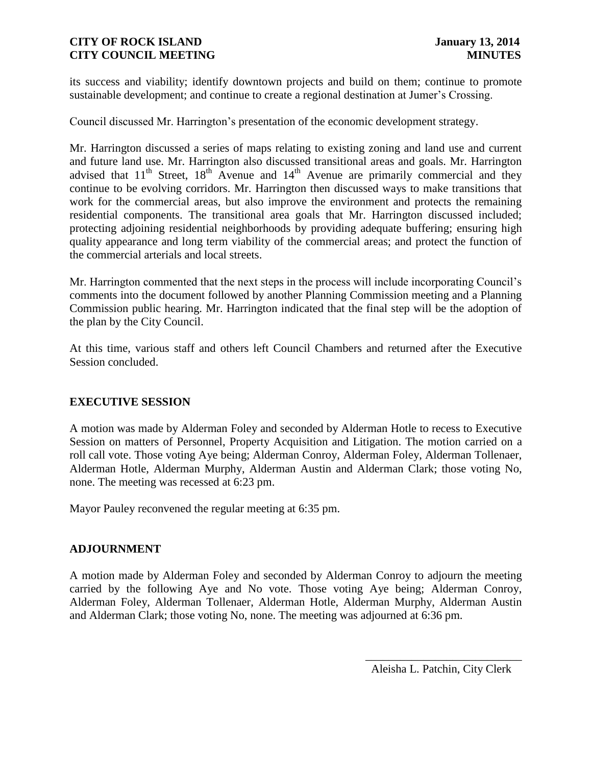its success and viability; identify downtown projects and build on them; continue to promote sustainable development; and continue to create a regional destination at Jumer's Crossing.

Council discussed Mr. Harrington's presentation of the economic development strategy.

Mr. Harrington discussed a series of maps relating to existing zoning and land use and current and future land use. Mr. Harrington also discussed transitional areas and goals. Mr. Harrington advised that  $11<sup>th</sup>$  Street,  $18<sup>th</sup>$  Avenue and  $14<sup>th</sup>$  Avenue are primarily commercial and they continue to be evolving corridors. Mr. Harrington then discussed ways to make transitions that work for the commercial areas, but also improve the environment and protects the remaining residential components. The transitional area goals that Mr. Harrington discussed included; protecting adjoining residential neighborhoods by providing adequate buffering; ensuring high quality appearance and long term viability of the commercial areas; and protect the function of the commercial arterials and local streets.

Mr. Harrington commented that the next steps in the process will include incorporating Council's comments into the document followed by another Planning Commission meeting and a Planning Commission public hearing. Mr. Harrington indicated that the final step will be the adoption of the plan by the City Council.

At this time, various staff and others left Council Chambers and returned after the Executive Session concluded.

# **EXECUTIVE SESSION**

A motion was made by Alderman Foley and seconded by Alderman Hotle to recess to Executive Session on matters of Personnel, Property Acquisition and Litigation. The motion carried on a roll call vote. Those voting Aye being; Alderman Conroy, Alderman Foley, Alderman Tollenaer, Alderman Hotle, Alderman Murphy, Alderman Austin and Alderman Clark; those voting No, none. The meeting was recessed at 6:23 pm.

Mayor Pauley reconvened the regular meeting at 6:35 pm.

#### **ADJOURNMENT**

A motion made by Alderman Foley and seconded by Alderman Conroy to adjourn the meeting carried by the following Aye and No vote. Those voting Aye being; Alderman Conroy, Alderman Foley, Alderman Tollenaer, Alderman Hotle, Alderman Murphy, Alderman Austin and Alderman Clark; those voting No, none. The meeting was adjourned at 6:36 pm.

\_\_\_\_\_\_\_\_\_\_\_\_\_\_\_\_\_\_\_\_\_\_\_\_\_\_\_ Aleisha L. Patchin, City Clerk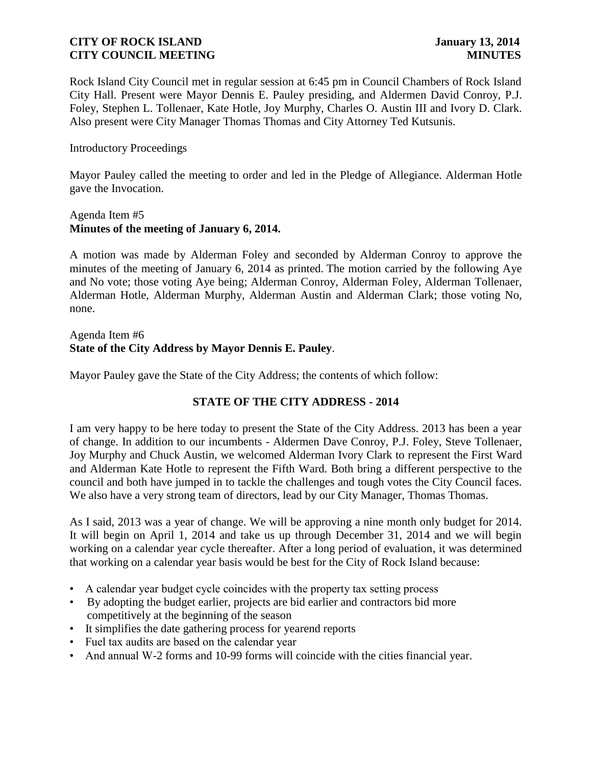Rock Island City Council met in regular session at 6:45 pm in Council Chambers of Rock Island City Hall. Present were Mayor Dennis E. Pauley presiding, and Aldermen David Conroy, P.J. Foley, Stephen L. Tollenaer, Kate Hotle, Joy Murphy, Charles O. Austin III and Ivory D. Clark. Also present were City Manager Thomas Thomas and City Attorney Ted Kutsunis.

#### Introductory Proceedings

Mayor Pauley called the meeting to order and led in the Pledge of Allegiance. Alderman Hotle gave the Invocation.

#### Agenda Item #5 **Minutes of the meeting of January 6, 2014.**

A motion was made by Alderman Foley and seconded by Alderman Conroy to approve the minutes of the meeting of January 6, 2014 as printed. The motion carried by the following Aye and No vote; those voting Aye being; Alderman Conroy, Alderman Foley, Alderman Tollenaer, Alderman Hotle, Alderman Murphy, Alderman Austin and Alderman Clark; those voting No, none.

#### Agenda Item #6 **State of the City Address by Mayor Dennis E. Pauley**.

Mayor Pauley gave the State of the City Address; the contents of which follow:

# **STATE OF THE CITY ADDRESS - 2014**

I am very happy to be here today to present the State of the City Address. 2013 has been a year of change. In addition to our incumbents - Aldermen Dave Conroy, P.J. Foley, Steve Tollenaer, Joy Murphy and Chuck Austin, we welcomed Alderman Ivory Clark to represent the First Ward and Alderman Kate Hotle to represent the Fifth Ward. Both bring a different perspective to the council and both have jumped in to tackle the challenges and tough votes the City Council faces. We also have a very strong team of directors, lead by our City Manager, Thomas Thomas.

As I said, 2013 was a year of change. We will be approving a nine month only budget for 2014. It will begin on April 1, 2014 and take us up through December 31, 2014 and we will begin working on a calendar year cycle thereafter. After a long period of evaluation, it was determined that working on a calendar year basis would be best for the City of Rock Island because:

- A calendar year budget cycle coincides with the property tax setting process
- By adopting the budget earlier, projects are bid earlier and contractors bid more competitively at the beginning of the season
- It simplifies the date gathering process for yearend reports
- Fuel tax audits are based on the calendar year
- And annual W-2 forms and 10-99 forms will coincide with the cities financial year.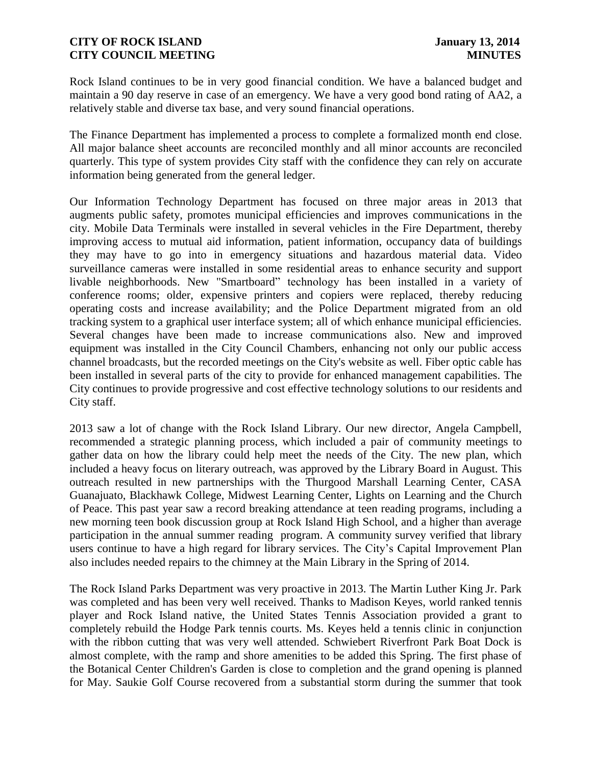Rock Island continues to be in very good financial condition. We have a balanced budget and maintain a 90 day reserve in case of an emergency. We have a very good bond rating of AA2, a relatively stable and diverse tax base, and very sound financial operations.

The Finance Department has implemented a process to complete a formalized month end close. All major balance sheet accounts are reconciled monthly and all minor accounts are reconciled quarterly. This type of system provides City staff with the confidence they can rely on accurate information being generated from the general ledger.

Our Information Technology Department has focused on three major areas in 2013 that augments public safety, promotes municipal efficiencies and improves communications in the city. Mobile Data Terminals were installed in several vehicles in the Fire Department, thereby improving access to mutual aid information, patient information, occupancy data of buildings they may have to go into in emergency situations and hazardous material data. Video surveillance cameras were installed in some residential areas to enhance security and support livable neighborhoods. New "Smartboard" technology has been installed in a variety of conference rooms; older, expensive printers and copiers were replaced, thereby reducing operating costs and increase availability; and the Police Department migrated from an old tracking system to a graphical user interface system; all of which enhance municipal efficiencies. Several changes have been made to increase communications also. New and improved equipment was installed in the City Council Chambers, enhancing not only our public access channel broadcasts, but the recorded meetings on the City's website as well. Fiber optic cable has been installed in several parts of the city to provide for enhanced management capabilities. The City continues to provide progressive and cost effective technology solutions to our residents and City staff.

2013 saw a lot of change with the Rock Island Library. Our new director, Angela Campbell, recommended a strategic planning process, which included a pair of community meetings to gather data on how the library could help meet the needs of the City. The new plan, which included a heavy focus on literary outreach, was approved by the Library Board in August. This outreach resulted in new partnerships with the Thurgood Marshall Learning Center, CASA Guanajuato, Blackhawk College, Midwest Learning Center, Lights on Learning and the Church of Peace. This past year saw a record breaking attendance at teen reading programs, including a new morning teen book discussion group at Rock Island High School, and a higher than average participation in the annual summer reading program. A community survey verified that library users continue to have a high regard for library services. The City's Capital Improvement Plan also includes needed repairs to the chimney at the Main Library in the Spring of 2014.

The Rock Island Parks Department was very proactive in 2013. The Martin Luther King Jr. Park was completed and has been very well received. Thanks to Madison Keyes, world ranked tennis player and Rock Island native, the United States Tennis Association provided a grant to completely rebuild the Hodge Park tennis courts. Ms. Keyes held a tennis clinic in conjunction with the ribbon cutting that was very well attended. Schwiebert Riverfront Park Boat Dock is almost complete, with the ramp and shore amenities to be added this Spring. The first phase of the Botanical Center Children's Garden is close to completion and the grand opening is planned for May. Saukie Golf Course recovered from a substantial storm during the summer that took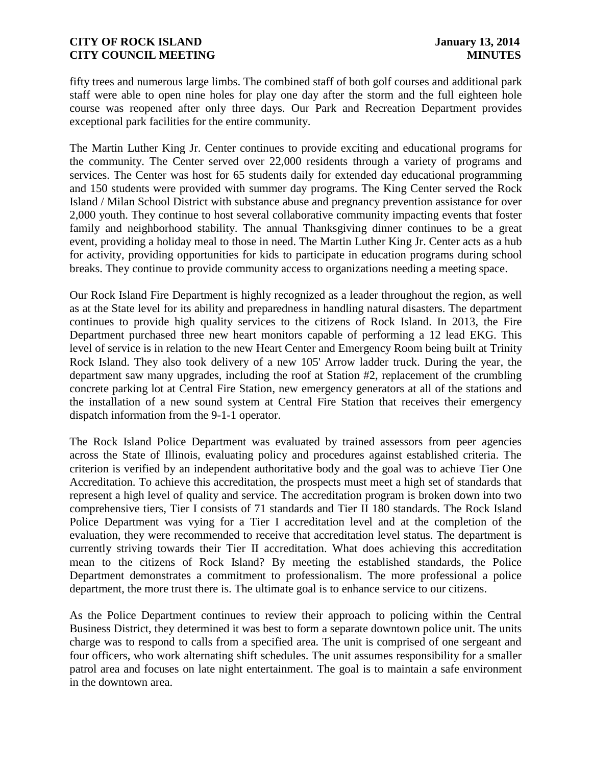fifty trees and numerous large limbs. The combined staff of both golf courses and additional park staff were able to open nine holes for play one day after the storm and the full eighteen hole course was reopened after only three days. Our Park and Recreation Department provides exceptional park facilities for the entire community.

The Martin Luther King Jr. Center continues to provide exciting and educational programs for the community. The Center served over 22,000 residents through a variety of programs and services. The Center was host for 65 students daily for extended day educational programming and 150 students were provided with summer day programs. The King Center served the Rock Island / Milan School District with substance abuse and pregnancy prevention assistance for over 2,000 youth. They continue to host several collaborative community impacting events that foster family and neighborhood stability. The annual Thanksgiving dinner continues to be a great event, providing a holiday meal to those in need. The Martin Luther King Jr. Center acts as a hub for activity, providing opportunities for kids to participate in education programs during school breaks. They continue to provide community access to organizations needing a meeting space.

Our Rock Island Fire Department is highly recognized as a leader throughout the region, as well as at the State level for its ability and preparedness in handling natural disasters. The department continues to provide high quality services to the citizens of Rock Island. In 2013, the Fire Department purchased three new heart monitors capable of performing a 12 lead EKG. This level of service is in relation to the new Heart Center and Emergency Room being built at Trinity Rock Island. They also took delivery of a new 105' Arrow ladder truck. During the year, the department saw many upgrades, including the roof at Station #2, replacement of the crumbling concrete parking lot at Central Fire Station, new emergency generators at all of the stations and the installation of a new sound system at Central Fire Station that receives their emergency dispatch information from the 9-1-1 operator.

The Rock Island Police Department was evaluated by trained assessors from peer agencies across the State of Illinois, evaluating policy and procedures against established criteria. The criterion is verified by an independent authoritative body and the goal was to achieve Tier One Accreditation. To achieve this accreditation, the prospects must meet a high set of standards that represent a high level of quality and service. The accreditation program is broken down into two comprehensive tiers, Tier I consists of 71 standards and Tier II 180 standards. The Rock Island Police Department was vying for a Tier I accreditation level and at the completion of the evaluation, they were recommended to receive that accreditation level status. The department is currently striving towards their Tier II accreditation. What does achieving this accreditation mean to the citizens of Rock Island? By meeting the established standards, the Police Department demonstrates a commitment to professionalism. The more professional a police department, the more trust there is. The ultimate goal is to enhance service to our citizens.

As the Police Department continues to review their approach to policing within the Central Business District, they determined it was best to form a separate downtown police unit. The units charge was to respond to calls from a specified area. The unit is comprised of one sergeant and four officers, who work alternating shift schedules. The unit assumes responsibility for a smaller patrol area and focuses on late night entertainment. The goal is to maintain a safe environment in the downtown area.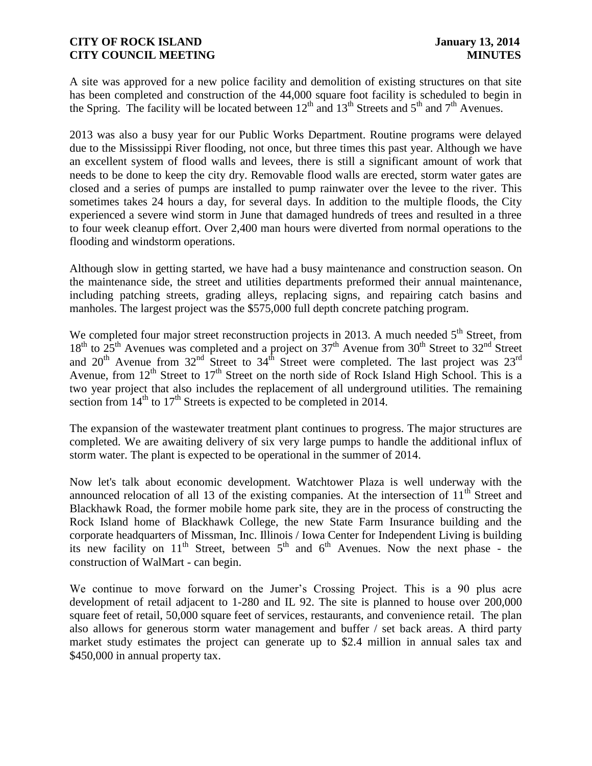A site was approved for a new police facility and demolition of existing structures on that site has been completed and construction of the 44,000 square foot facility is scheduled to begin in the Spring. The facility will be located between  $12^{th}$  and  $13^{th}$  Streets and  $5^{th}$  and  $7^{th}$  Avenues.

2013 was also a busy year for our Public Works Department. Routine programs were delayed due to the Mississippi River flooding, not once, but three times this past year. Although we have an excellent system of flood walls and levees, there is still a significant amount of work that needs to be done to keep the city dry. Removable flood walls are erected, storm water gates are closed and a series of pumps are installed to pump rainwater over the levee to the river. This sometimes takes 24 hours a day, for several days. In addition to the multiple floods, the City experienced a severe wind storm in June that damaged hundreds of trees and resulted in a three to four week cleanup effort. Over 2,400 man hours were diverted from normal operations to the flooding and windstorm operations.

Although slow in getting started, we have had a busy maintenance and construction season. On the maintenance side, the street and utilities departments preformed their annual maintenance, including patching streets, grading alleys, replacing signs, and repairing catch basins and manholes. The largest project was the \$575,000 full depth concrete patching program.

We completed four major street reconstruction projects in 2013. A much needed  $5<sup>th</sup>$  Street, from  $18<sup>th</sup>$  to  $25<sup>th</sup>$  Avenues was completed and a project on  $37<sup>th</sup>$  Avenue from  $30<sup>th</sup>$  Street to  $32<sup>nd</sup>$  Street and  $20^{th}$  Avenue from  $32^{nd}$  Street to  $34^{th}$  Street were completed. The last project was  $23^{rd}$ Avenue, from  $12<sup>th</sup>$  Street to  $17<sup>th</sup>$  Street on the north side of Rock Island High School. This is a two year project that also includes the replacement of all underground utilities. The remaining section from  $14<sup>th</sup>$  to  $17<sup>th</sup>$  Streets is expected to be completed in 2014.

The expansion of the wastewater treatment plant continues to progress. The major structures are completed. We are awaiting delivery of six very large pumps to handle the additional influx of storm water. The plant is expected to be operational in the summer of 2014.

Now let's talk about economic development. Watchtower Plaza is well underway with the announced relocation of all 13 of the existing companies. At the intersection of  $11<sup>th</sup>$  Street and Blackhawk Road, the former mobile home park site, they are in the process of constructing the Rock Island home of Blackhawk College, the new State Farm Insurance building and the corporate headquarters of Missman, Inc. Illinois / Iowa Center for Independent Living is building its new facility on  $11<sup>th</sup>$  Street, between  $5<sup>th</sup>$  and  $6<sup>th</sup>$  Avenues. Now the next phase - the construction of WalMart - can begin.

We continue to move forward on the Jumer's Crossing Project. This is a 90 plus acre development of retail adjacent to 1-280 and IL 92. The site is planned to house over 200,000 square feet of retail, 50,000 square feet of services, restaurants, and convenience retail. The plan also allows for generous storm water management and buffer / set back areas. A third party market study estimates the project can generate up to \$2.4 million in annual sales tax and \$450,000 in annual property tax.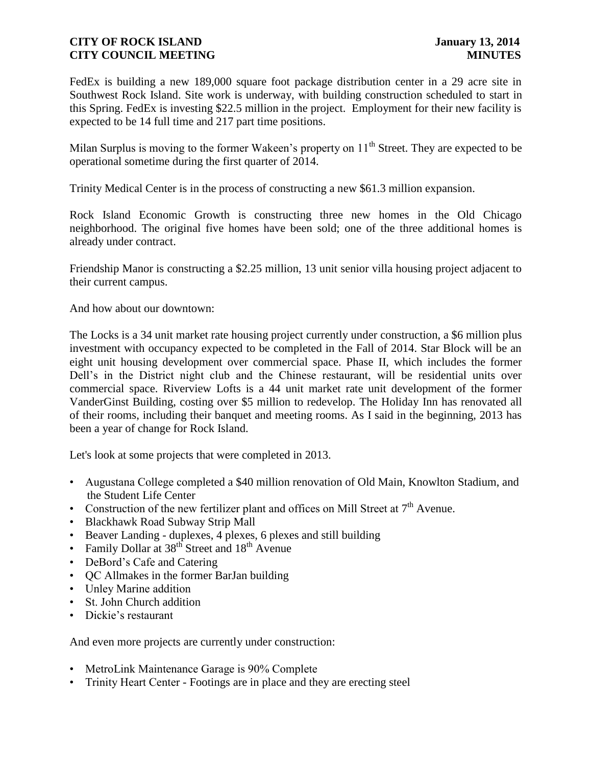FedEx is building a new 189,000 square foot package distribution center in a 29 acre site in Southwest Rock Island. Site work is underway, with building construction scheduled to start in this Spring. FedEx is investing \$22.5 million in the project. Employment for their new facility is expected to be 14 full time and 217 part time positions.

Milan Surplus is moving to the former Wakeen's property on 11<sup>th</sup> Street. They are expected to be operational sometime during the first quarter of 2014.

Trinity Medical Center is in the process of constructing a new \$61.3 million expansion.

Rock Island Economic Growth is constructing three new homes in the Old Chicago neighborhood. The original five homes have been sold; one of the three additional homes is already under contract.

Friendship Manor is constructing a \$2.25 million, 13 unit senior villa housing project adjacent to their current campus.

And how about our downtown:

The Locks is a 34 unit market rate housing project currently under construction, a \$6 million plus investment with occupancy expected to be completed in the Fall of 2014. Star Block will be an eight unit housing development over commercial space. Phase II, which includes the former Dell's in the District night club and the Chinese restaurant, will be residential units over commercial space. Riverview Lofts is a 44 unit market rate unit development of the former VanderGinst Building, costing over \$5 million to redevelop. The Holiday Inn has renovated all of their rooms, including their banquet and meeting rooms. As I said in the beginning, 2013 has been a year of change for Rock Island.

Let's look at some projects that were completed in 2013.

- Augustana College completed a \$40 million renovation of Old Main, Knowlton Stadium, and the Student Life Center
- Construction of the new fertilizer plant and offices on Mill Street at  $7<sup>th</sup>$  Avenue.
- Blackhawk Road Subway Strip Mall
- Beaver Landing duplexes, 4 plexes, 6 plexes and still building
- Family Dollar at 38<sup>th</sup> Street and 18<sup>th</sup> Avenue
- DeBord's Cafe and Catering
- QC Allmakes in the former BarJan building
- Unley Marine addition
- St. John Church addition
- Dickie's restaurant

And even more projects are currently under construction:

- MetroLink Maintenance Garage is 90% Complete
- Trinity Heart Center Footings are in place and they are erecting steel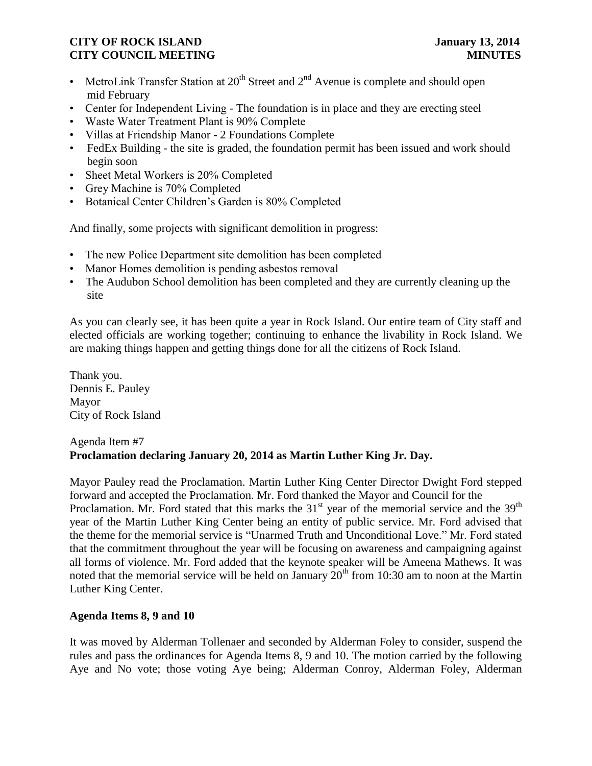- MetroLink Transfer Station at  $20^{th}$  Street and  $2^{nd}$  Avenue is complete and should open mid February
- Center for Independent Living The foundation is in place and they are erecting steel
- Waste Water Treatment Plant is 90% Complete
- Villas at Friendship Manor 2 Foundations Complete
- FedEx Building the site is graded, the foundation permit has been issued and work should begin soon
- Sheet Metal Workers is 20% Completed
- Grey Machine is 70% Completed
- Botanical Center Children's Garden is 80% Completed

And finally, some projects with significant demolition in progress:

- The new Police Department site demolition has been completed
- Manor Homes demolition is pending asbestos removal
- The Audubon School demolition has been completed and they are currently cleaning up the site

As you can clearly see, it has been quite a year in Rock Island. Our entire team of City staff and elected officials are working together; continuing to enhance the livability in Rock Island. We are making things happen and getting things done for all the citizens of Rock Island.

Thank you. Dennis E. Pauley Mayor City of Rock Island

# Agenda Item #7 **Proclamation declaring January 20, 2014 as Martin Luther King Jr. Day.**

Mayor Pauley read the Proclamation. Martin Luther King Center Director Dwight Ford stepped forward and accepted the Proclamation. Mr. Ford thanked the Mayor and Council for the Proclamation. Mr. Ford stated that this marks the  $31<sup>st</sup>$  year of the memorial service and the  $39<sup>th</sup>$ year of the Martin Luther King Center being an entity of public service. Mr. Ford advised that the theme for the memorial service is "Unarmed Truth and Unconditional Love." Mr. Ford stated that the commitment throughout the year will be focusing on awareness and campaigning against all forms of violence. Mr. Ford added that the keynote speaker will be Ameena Mathews. It was noted that the memorial service will be held on January  $20<sup>th</sup>$  from 10:30 am to noon at the Martin Luther King Center.

# **Agenda Items 8, 9 and 10**

It was moved by Alderman Tollenaer and seconded by Alderman Foley to consider, suspend the rules and pass the ordinances for Agenda Items 8, 9 and 10. The motion carried by the following Aye and No vote; those voting Aye being; Alderman Conroy, Alderman Foley, Alderman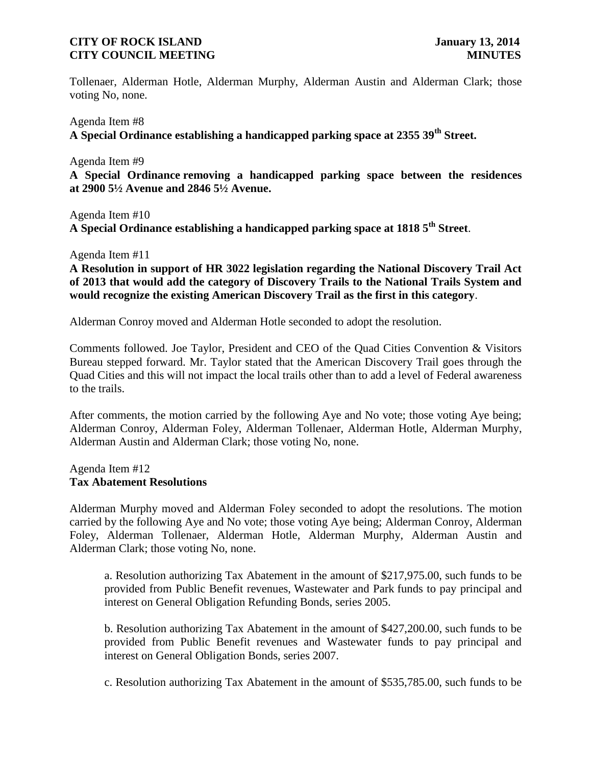Tollenaer, Alderman Hotle, Alderman Murphy, Alderman Austin and Alderman Clark; those voting No, none.

Agenda Item #8 **A Special Ordinance establishing a handicapped parking space at 2355 39th Street.**

#### Agenda Item #9

**A Special Ordinance removing a handicapped parking space between the residences at 2900 5½ Avenue and 2846 5½ Avenue.**

Agenda Item #10

**A Special Ordinance establishing a handicapped parking space at 1818 5th Street**.

Agenda Item #11

**A Resolution in support of HR 3022 legislation regarding the National Discovery Trail Act of 2013 that would add the category of Discovery Trails to the National Trails System and would recognize the existing American Discovery Trail as the first in this category**.

Alderman Conroy moved and Alderman Hotle seconded to adopt the resolution.

Comments followed. Joe Taylor, President and CEO of the Quad Cities Convention & Visitors Bureau stepped forward. Mr. Taylor stated that the American Discovery Trail goes through the Quad Cities and this will not impact the local trails other than to add a level of Federal awareness to the trails.

After comments, the motion carried by the following Aye and No vote; those voting Aye being; Alderman Conroy, Alderman Foley, Alderman Tollenaer, Alderman Hotle, Alderman Murphy, Alderman Austin and Alderman Clark; those voting No, none.

#### Agenda Item #12 **Tax Abatement Resolutions**

Alderman Murphy moved and Alderman Foley seconded to adopt the resolutions. The motion carried by the following Aye and No vote; those voting Aye being; Alderman Conroy, Alderman Foley, Alderman Tollenaer, Alderman Hotle, Alderman Murphy, Alderman Austin and Alderman Clark; those voting No, none.

a. Resolution authorizing Tax Abatement in the amount of \$217,975.00, such funds to be provided from Public Benefit revenues, Wastewater and Park funds to pay principal and interest on General Obligation Refunding Bonds, series 2005.

b. Resolution authorizing Tax Abatement in the amount of \$427,200.00, such funds to be provided from Public Benefit revenues and Wastewater funds to pay principal and interest on General Obligation Bonds, series 2007.

c. Resolution authorizing Tax Abatement in the amount of \$535,785.00, such funds to be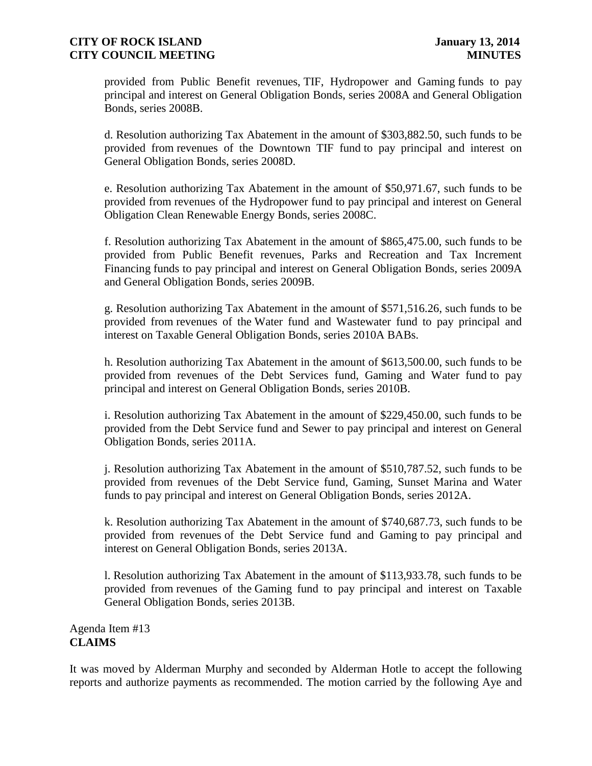provided from Public Benefit revenues, TIF, Hydropower and Gaming funds to pay principal and interest on General Obligation Bonds, series 2008A and General Obligation Bonds, series 2008B.

d. Resolution authorizing Tax Abatement in the amount of \$303,882.50, such funds to be provided from revenues of the Downtown TIF fund to pay principal and interest on General Obligation Bonds, series 2008D.

e. Resolution authorizing Tax Abatement in the amount of \$50,971.67, such funds to be provided from revenues of the Hydropower fund to pay principal and interest on General Obligation Clean Renewable Energy Bonds, series 2008C.

f. Resolution authorizing Tax Abatement in the amount of \$865,475.00, such funds to be provided from Public Benefit revenues, Parks and Recreation and Tax Increment Financing funds to pay principal and interest on General Obligation Bonds, series 2009A and General Obligation Bonds, series 2009B.

g. Resolution authorizing Tax Abatement in the amount of \$571,516.26, such funds to be provided from revenues of the Water fund and Wastewater fund to pay principal and interest on Taxable General Obligation Bonds, series 2010A BABs.

h. Resolution authorizing Tax Abatement in the amount of \$613,500.00, such funds to be provided from revenues of the Debt Services fund, Gaming and Water fund to pay principal and interest on General Obligation Bonds, series 2010B.

i. Resolution authorizing Tax Abatement in the amount of \$229,450.00, such funds to be provided from the Debt Service fund and Sewer to pay principal and interest on General Obligation Bonds, series 2011A.

j. Resolution authorizing Tax Abatement in the amount of \$510,787.52, such funds to be provided from revenues of the Debt Service fund, Gaming, Sunset Marina and Water funds to pay principal and interest on General Obligation Bonds, series 2012A.

k. Resolution authorizing Tax Abatement in the amount of \$740,687.73, such funds to be provided from revenues of the Debt Service fund and Gaming to pay principal and interest on General Obligation Bonds, series 2013A.

l. Resolution authorizing Tax Abatement in the amount of \$113,933.78, such funds to be provided from revenues of the Gaming fund to pay principal and interest on Taxable General Obligation Bonds, series 2013B.

Agenda Item #13 **CLAIMS**

It was moved by Alderman Murphy and seconded by Alderman Hotle to accept the following reports and authorize payments as recommended. The motion carried by the following Aye and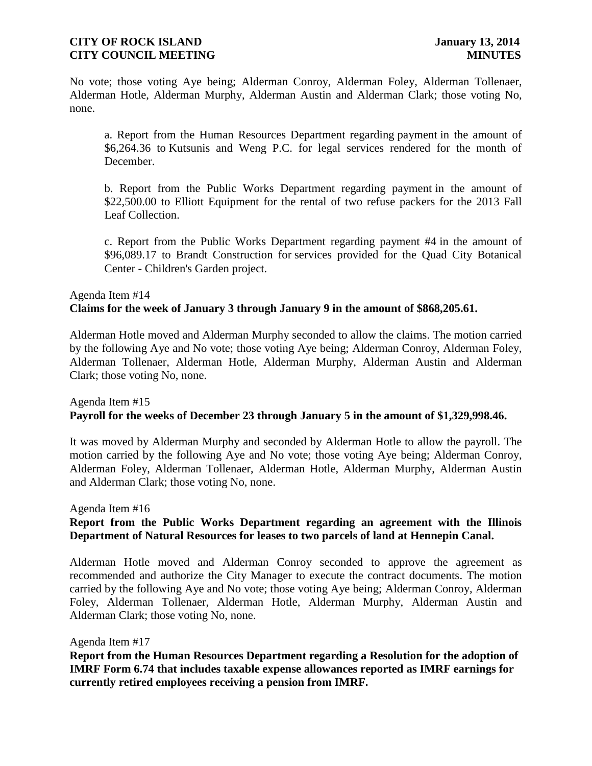No vote; those voting Aye being; Alderman Conroy, Alderman Foley, Alderman Tollenaer, Alderman Hotle, Alderman Murphy, Alderman Austin and Alderman Clark; those voting No, none.

a. Report from the Human Resources Department regarding payment in the amount of \$6,264.36 to Kutsunis and Weng P.C. for legal services rendered for the month of December.

b. Report from the Public Works Department regarding payment in the amount of \$22,500.00 to Elliott Equipment for the rental of two refuse packers for the 2013 Fall Leaf Collection.

c. Report from the Public Works Department regarding payment #4 in the amount of \$96,089.17 to Brandt Construction for services provided for the Quad City Botanical Center - Children's Garden project.

# Agenda Item #14 **Claims for the week of January 3 through January 9 in the amount of \$868,205.61.**

Alderman Hotle moved and Alderman Murphy seconded to allow the claims. The motion carried by the following Aye and No vote; those voting Aye being; Alderman Conroy, Alderman Foley, Alderman Tollenaer, Alderman Hotle, Alderman Murphy, Alderman Austin and Alderman Clark; those voting No, none.

### Agenda Item #15 **Payroll for the weeks of December 23 through January 5 in the amount of \$1,329,998.46.**

It was moved by Alderman Murphy and seconded by Alderman Hotle to allow the payroll. The motion carried by the following Aye and No vote; those voting Aye being; Alderman Conroy, Alderman Foley, Alderman Tollenaer, Alderman Hotle, Alderman Murphy, Alderman Austin and Alderman Clark; those voting No, none.

#### Agenda Item #16

# **Report from the Public Works Department regarding an agreement with the Illinois Department of Natural Resources for leases to two parcels of land at Hennepin Canal.**

Alderman Hotle moved and Alderman Conroy seconded to approve the agreement as recommended and authorize the City Manager to execute the contract documents. The motion carried by the following Aye and No vote; those voting Aye being; Alderman Conroy, Alderman Foley, Alderman Tollenaer, Alderman Hotle, Alderman Murphy, Alderman Austin and Alderman Clark; those voting No, none.

Agenda Item #17

**Report from the Human Resources Department regarding a Resolution for the adoption of IMRF Form 6.74 that includes taxable expense allowances reported as IMRF earnings for currently retired employees receiving a pension from IMRF.**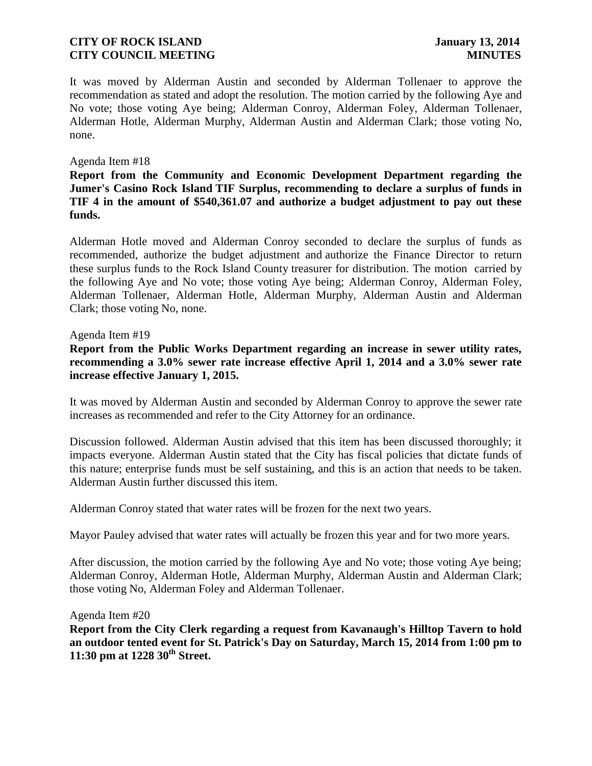It was moved by Alderman Austin and seconded by Alderman Tollenaer to approve the recommendation as stated and adopt the resolution. The motion carried by the following Aye and No vote; those voting Aye being; Alderman Conroy, Alderman Foley, Alderman Tollenaer, Alderman Hotle, Alderman Murphy, Alderman Austin and Alderman Clark; those voting No, none.

#### Agenda Item #18

**Report from the Community and Economic Development Department regarding the Jumer's Casino Rock Island TIF Surplus, recommending to declare a surplus of funds in TIF 4 in the amount of \$540,361.07 and authorize a budget adjustment to pay out these funds.**

Alderman Hotle moved and Alderman Conroy seconded to declare the surplus of funds as recommended, authorize the budget adjustment and authorize the Finance Director to return these surplus funds to the Rock Island County treasurer for distribution. The motion carried by the following Aye and No vote; those voting Aye being; Alderman Conroy, Alderman Foley, Alderman Tollenaer, Alderman Hotle, Alderman Murphy, Alderman Austin and Alderman Clark; those voting No, none.

#### Agenda Item #19

**Report from the Public Works Department regarding an increase in sewer utility rates, recommending a 3.0% sewer rate increase effective April 1, 2014 and a 3.0% sewer rate increase effective January 1, 2015.** 

It was moved by Alderman Austin and seconded by Alderman Conroy to approve the sewer rate increases as recommended and refer to the City Attorney for an ordinance.

Discussion followed. Alderman Austin advised that this item has been discussed thoroughly; it impacts everyone. Alderman Austin stated that the City has fiscal policies that dictate funds of this nature; enterprise funds must be self sustaining, and this is an action that needs to be taken. Alderman Austin further discussed this item.

Alderman Conroy stated that water rates will be frozen for the next two years.

Mayor Pauley advised that water rates will actually be frozen this year and for two more years.

After discussion, the motion carried by the following Aye and No vote; those voting Aye being; Alderman Conroy, Alderman Hotle, Alderman Murphy, Alderman Austin and Alderman Clark; those voting No, Alderman Foley and Alderman Tollenaer.

#### Agenda Item #20

**Report from the City Clerk regarding a request from Kavanaugh's Hilltop Tavern to hold an outdoor tented event for St. Patrick's Day on Saturday, March 15, 2014 from 1:00 pm to 11:30 pm at 1228 30th Street.**